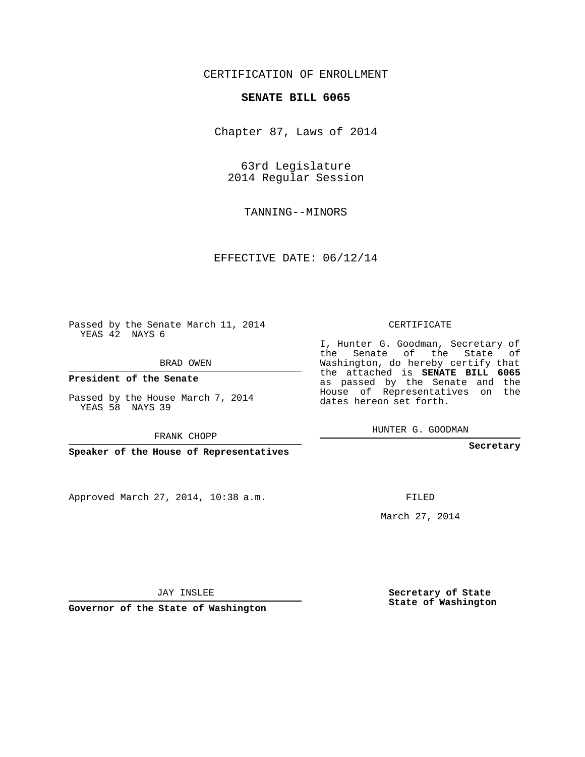## CERTIFICATION OF ENROLLMENT

## **SENATE BILL 6065**

Chapter 87, Laws of 2014

63rd Legislature 2014 Regular Session

TANNING--MINORS

EFFECTIVE DATE: 06/12/14

**Contract Contract** 

Passed by the Senate March 11, 2014 YEAS 42 NAYS 6

BRAD OWEN

**President of the Senate**

Passed by the House March 7, 2014 YEAS 58 NAYS 39

FRANK CHOPP

**Speaker of the House of Representatives**

Approved March 27, 2014, 10:38 a.m.

CERTIFICATE

I, Hunter G. Goodman, Secretary of the Senate of the State of Washington, do hereby certify that the attached is **SENATE BILL 6065** as passed by the Senate and the House of Representatives on the dates hereon set forth.

HUNTER G. GOODMAN

**Secretary**

FILED

March 27, 2014

**Secretary of State State of Washington**

JAY INSLEE

**Governor of the State of Washington**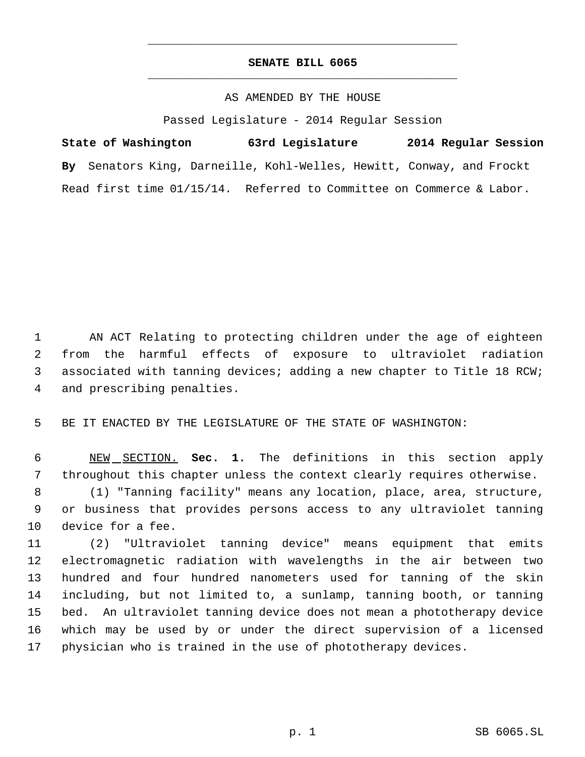## **SENATE BILL 6065** \_\_\_\_\_\_\_\_\_\_\_\_\_\_\_\_\_\_\_\_\_\_\_\_\_\_\_\_\_\_\_\_\_\_\_\_\_\_\_\_\_\_\_\_\_

\_\_\_\_\_\_\_\_\_\_\_\_\_\_\_\_\_\_\_\_\_\_\_\_\_\_\_\_\_\_\_\_\_\_\_\_\_\_\_\_\_\_\_\_\_

## AS AMENDED BY THE HOUSE

Passed Legislature - 2014 Regular Session

**State of Washington 63rd Legislature 2014 Regular Session By** Senators King, Darneille, Kohl-Welles, Hewitt, Conway, and Frockt Read first time 01/15/14. Referred to Committee on Commerce & Labor.

 AN ACT Relating to protecting children under the age of eighteen from the harmful effects of exposure to ultraviolet radiation associated with tanning devices; adding a new chapter to Title 18 RCW; and prescribing penalties.

BE IT ENACTED BY THE LEGISLATURE OF THE STATE OF WASHINGTON:

 NEW SECTION. **Sec. 1.** The definitions in this section apply throughout this chapter unless the context clearly requires otherwise.

 (1) "Tanning facility" means any location, place, area, structure, or business that provides persons access to any ultraviolet tanning device for a fee.

 (2) "Ultraviolet tanning device" means equipment that emits electromagnetic radiation with wavelengths in the air between two hundred and four hundred nanometers used for tanning of the skin including, but not limited to, a sunlamp, tanning booth, or tanning bed. An ultraviolet tanning device does not mean a phototherapy device which may be used by or under the direct supervision of a licensed physician who is trained in the use of phototherapy devices.